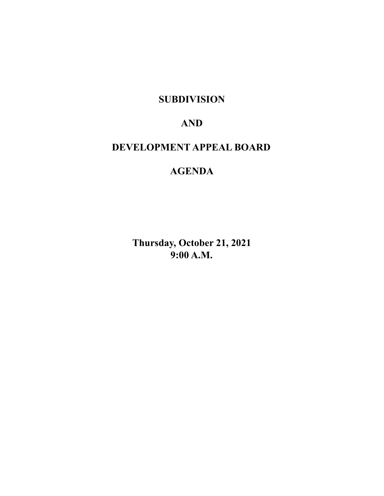**SUBDIVISION**

# **AND**

# **DEVELOPMENT APPEAL BOARD**

# **AGENDA**

**Thursday, October 21, 2021 9:00 A.M.**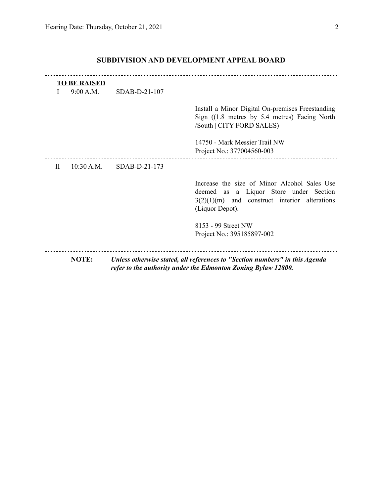|              | <b>TO BE RAISED</b> |                 |                                                                                                                                                              |
|--------------|---------------------|-----------------|--------------------------------------------------------------------------------------------------------------------------------------------------------------|
|              | 9:00 A.M.           | $SDAB-D-21-107$ |                                                                                                                                                              |
|              |                     |                 | Install a Minor Digital On-premises Freestanding<br>Sign $(1.8$ metres by 5.4 metres) Facing North<br>/South   CITY FORD SALES)                              |
|              |                     |                 | 14750 - Mark Messier Trail NW<br>Project No.: 377004560-003                                                                                                  |
| $\mathbf{H}$ | 10:30 A.M.          | $SDAB-D-21-173$ |                                                                                                                                                              |
|              |                     |                 | Increase the size of Minor Alcohol Sales Use<br>deemed as a Liquor Store under Section<br>$3(2)(1)(m)$ and construct interior alterations<br>(Liquor Depot). |
|              |                     |                 | 8153 - 99 Street NW<br>Project No.: 395185897-002                                                                                                            |
|              | <b>NOTE:</b>        |                 | Unless otherwise stated, all references to "Section numbers" in this Agenda                                                                                  |
|              |                     |                 | refer to the authority under the Edmonton Zoning Bylaw 12800.                                                                                                |

## **SUBDIVISION AND DEVELOPMENT APPEAL BOARD**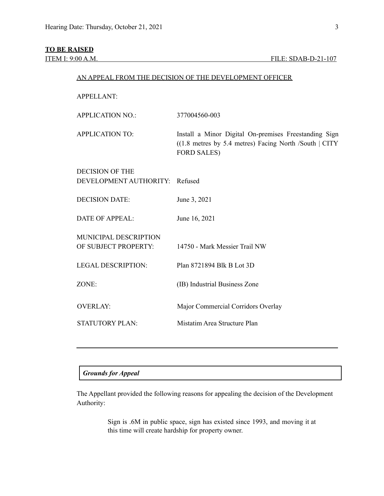## **TO BE RAISED**

| <b>APPELLANT:</b>                                        |                                                                                                                                        |
|----------------------------------------------------------|----------------------------------------------------------------------------------------------------------------------------------------|
| <b>APPLICATION NO.:</b>                                  | 377004560-003                                                                                                                          |
| <b>APPLICATION TO:</b>                                   | Install a Minor Digital On-premises Freestanding Sign<br>$(1.8$ metres by 5.4 metres) Facing North /South   CITY<br><b>FORD SALES)</b> |
| <b>DECISION OF THE</b><br>DEVELOPMENT AUTHORITY: Refused |                                                                                                                                        |
| <b>DECISION DATE:</b>                                    | June 3, 2021                                                                                                                           |
| <b>DATE OF APPEAL:</b>                                   | June 16, 2021                                                                                                                          |
| <b>MUNICIPAL DESCRIPTION</b><br>OF SUBJECT PROPERTY:     | 14750 - Mark Messier Trail NW                                                                                                          |
| <b>LEGAL DESCRIPTION:</b>                                | Plan 8721894 Blk B Lot 3D                                                                                                              |
| ZONE:                                                    | (IB) Industrial Business Zone                                                                                                          |
| <b>OVERLAY:</b>                                          | Major Commercial Corridors Overlay                                                                                                     |
| <b>STATUTORY PLAN:</b>                                   | Mistatim Area Structure Plan                                                                                                           |
|                                                          |                                                                                                                                        |

AN APPEAL FROM THE DECISION OF THE DEVELOPMENT OFFICER

## *Grounds for Appeal*

The Appellant provided the following reasons for appealing the decision of the Development Authority:

> Sign is .6M in public space, sign has existed since 1993, and moving it at this time will create hardship for property owner.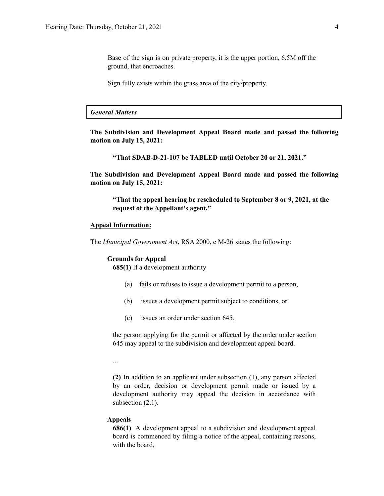Base of the sign is on private property, it is the upper portion, 6.5M off the ground, that encroaches.

Sign fully exists within the grass area of the city/property.

#### *General Matters*

**The Subdivision and Development Appeal Board made and passed the following motion on July 15, 2021:**

**"That SDAB-D-21-107 be TABLED until October 20 or 21, 2021."**

**The Subdivision and Development Appeal Board made and passed the following motion on July 15, 2021:**

**"That the appeal hearing be rescheduled to September 8 or 9, 2021, at the request of the Appellant's agent."**

#### **Appeal Information:**

The *Municipal Government Act*, RSA 2000, c M-26 states the following:

#### **Grounds for Appeal**

**685(1)** If a development authority

- (a) fails or refuses to issue a development permit to a person,
- (b) issues a development permit subject to conditions, or
- (c) issues an order under section 645,

the person applying for the permit or affected by the order under section 645 may appeal to the subdivision and development appeal board.

...

**(2)** In addition to an applicant under subsection (1), any person affected by an order, decision or development permit made or issued by a development authority may appeal the decision in accordance with subsection  $(2.1)$ .

#### **Appeals**

**686(1)** A development appeal to a subdivision and development appeal board is commenced by filing a notice of the appeal, containing reasons, with the board,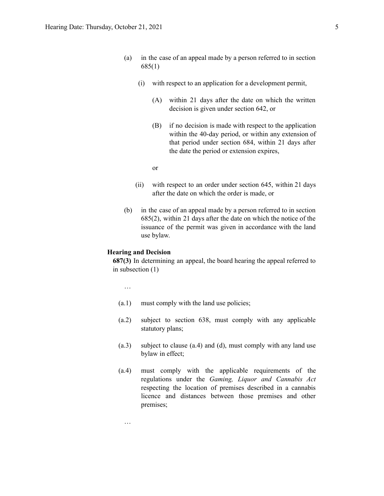- (a) in the case of an appeal made by a person referred to in section 685(1)
	- (i) with respect to an application for a development permit,
		- (A) within 21 days after the date on which the written decision is given under section 642, or
		- (B) if no decision is made with respect to the application within the 40-day period, or within any extension of that period under section 684, within 21 days after the date the period or extension expires,

or

- (ii) with respect to an order under section 645, within 21 days after the date on which the order is made, or
- (b) in the case of an appeal made by a person referred to in section 685(2), within 21 days after the date on which the notice of the issuance of the permit was given in accordance with the land use bylaw.

#### **Hearing and Decision**

**687(3)** In determining an appeal, the board hearing the appeal referred to in subsection (1)

…

…

- (a.1) must comply with the land use policies;
- (a.2) subject to section 638, must comply with any applicable statutory plans;
- (a.3) subject to clause (a.4) and (d), must comply with any land use bylaw in effect;
- (a.4) must comply with the applicable requirements of the regulations under the *Gaming, Liquor and Cannabis Act* respecting the location of premises described in a cannabis licence and distances between those premises and other premises;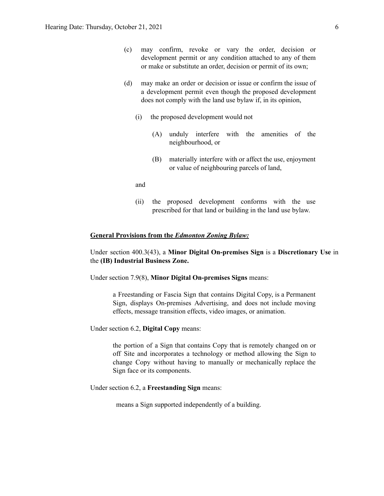- (c) may confirm, revoke or vary the order, decision or development permit or any condition attached to any of them or make or substitute an order, decision or permit of its own;
- (d) may make an order or decision or issue or confirm the issue of a development permit even though the proposed development does not comply with the land use bylaw if, in its opinion,
	- (i) the proposed development would not
		- (A) unduly interfere with the amenities of the neighbourhood, or
		- (B) materially interfere with or affect the use, enjoyment or value of neighbouring parcels of land,

and

(ii) the proposed development conforms with the use prescribed for that land or building in the land use bylaw.

#### **General Provisions from the** *Edmonton Zoning Bylaw:*

Under section 400.3(43), a **Minor Digital On-premises Sign** is a **Discretionary Use** in the **(IB) Industrial Business Zone.**

Under section 7.9(8), **Minor Digital On-premises Signs** means:

a Freestanding or Fascia Sign that contains Digital Copy, is a Permanent Sign, displays On-premises Advertising, and does not include moving effects, message transition effects, video images, or animation.

Under section 6.2, **Digital Copy** means:

the portion of a Sign that contains Copy that is remotely changed on or off Site and incorporates a technology or method allowing the Sign to change Copy without having to manually or mechanically replace the Sign face or its components.

Under section 6.2, a **Freestanding Sign** means:

means a Sign supported independently of a building.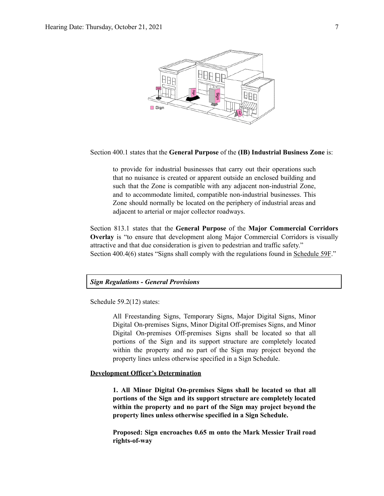

Section 400.1 states that the **General Purpose** of the **(IB) Industrial Business Zone** is:

to provide for industrial businesses that carry out their operations such that no nuisance is created or apparent outside an enclosed building and such that the Zone is compatible with any adjacent non-industrial Zone, and to accommodate limited, compatible non-industrial businesses. This Zone should normally be located on the periphery of industrial areas and adjacent to arterial or major collector roadways.

Section 813.1 states that the **General Purpose** of the **Major Commercial Corridors Overlay** is "to ensure that development along Major Commercial Corridors is visually attractive and that due consideration is given to pedestrian and traffic safety." Section 400.4(6) states "Signs shall comply with the regulations found in Schedule 59F."

#### *Sign Regulations - General Provisions*

Schedule 59.2(12) states:

All Freestanding Signs, Temporary Signs, Major Digital Signs, Minor Digital On-premises Signs, Minor Digital Off-premises Signs, and Minor Digital On-premises Off-premises Signs shall be located so that all portions of the Sign and its support structure are completely located within the property and no part of the Sign may project beyond the property lines unless otherwise specified in a Sign Schedule.

#### **Development Officer's Determination**

**1. All Minor Digital On-premises Signs shall be located so that all portions of the Sign and its support structure are completely located within the property and no part of the Sign may project beyond the property lines unless otherwise specified in a Sign Schedule.**

**Proposed: Sign encroaches 0.65 m onto the Mark Messier Trail road rights-of-way**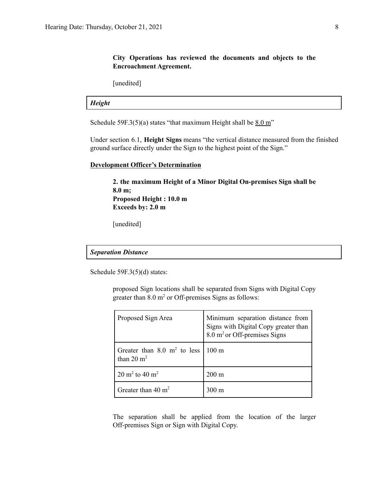### **City Operations has reviewed the documents and objects to the Encroachment Agreement.**

[unedited]

### *Height*

Schedule 59F.3(5)(a) states "that maximum Height shall be  $8.0 \text{ m}$ "

Under section 6.1, **Height Signs** means "the vertical distance measured from the finished ground surface directly under the Sign to the highest point of the Sign."

#### **Development Officer's Determination**

**2. the maximum Height of a Minor Digital On-premises Sign shall be 8.0 m; Proposed Height : 10.0 m Exceeds by: 2.0 m**

[unedited]

#### *Separation Distance*

Schedule 59F.3(5)(d) states:

proposed Sign locations shall be separated from Signs with Digital Copy greater than  $8.0 \text{ m}^2$  or Off-premises Signs as follows:

| Proposed Sign Area                                              | Minimum separation distance from<br>Signs with Digital Copy greater than<br>8.0 m <sup>2</sup> or Off-premises Signs |
|-----------------------------------------------------------------|----------------------------------------------------------------------------------------------------------------------|
| Greater than $8.0 \text{ m}^2$ to less<br>than $20 \text{ m}^2$ | $100 \text{ m}$                                                                                                      |
| 20 m <sup>2</sup> to 40 m <sup>2</sup>                          | $200 \text{ m}$                                                                                                      |
| Greater than $40 \text{ m}^2$                                   | $300 \text{ m}$                                                                                                      |

The separation shall be applied from the location of the larger Off-premises Sign or Sign with Digital Copy.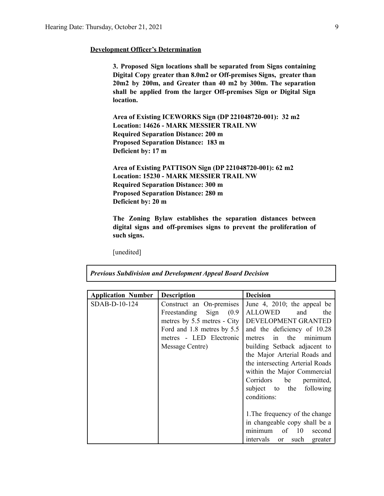#### **Development Officer's Determination**

**3. Proposed Sign locations shall be separated from Signs containing Digital Copy greater than 8.0m2 or Off-premises Signs, greater than 20m2 by 200m, and Greater than 40 m2 by 300m. The separation shall be applied from the larger Off-premises Sign or Digital Sign location.**

**Area of Existing ICEWORKS Sign (DP 221048720-001): 32 m2 Location: 14626 - MARK MESSIER TRAIL NW Required Separation Distance: 200 m Proposed Separation Distance: 183 m Deficient by: 17 m**

**Area of Existing PATTISON Sign (DP 221048720-001): 62 m2 Location: 15230 - MARK MESSIER TRAIL NW Required Separation Distance: 300 m Proposed Separation Distance: 280 m Deficient by: 20 m**

**The Zoning Bylaw establishes the separation distances between digital signs and off-premises signs to prevent the proliferation of such signs.**

[unedited]

*Previous Subdivision and Development Appeal Board Decision*

| <b>Application Number</b> | <b>Description</b>          | <b>Decision</b>                               |
|---------------------------|-----------------------------|-----------------------------------------------|
| SDAB-D-10-124             | Construct an On-premises    | June 4, 2010; the appeal be                   |
|                           | Freestanding Sign (0.9)     | <b>ALLOWED</b><br>and<br>the                  |
|                           | metres by 5.5 metres - City | DEVELOPMENT GRANTED                           |
|                           | Ford and 1.8 metres by 5.5  | and the deficiency of 10.28                   |
|                           | metres - LED Electronic     | in the minimum<br>metres                      |
|                           | Message Centre)             | building Setback adjacent to                  |
|                           |                             | the Major Arterial Roads and                  |
|                           |                             | the intersecting Arterial Roads               |
|                           |                             | within the Major Commercial                   |
|                           |                             | Corridors be permitted,                       |
|                           |                             | subject to the following                      |
|                           |                             | conditions:                                   |
|                           |                             |                                               |
|                           |                             | 1. The frequency of the change                |
|                           |                             | in changeable copy shall be a                 |
|                           |                             | of $10$<br>minimum<br>second                  |
|                           |                             | such<br>intervals<br>greater<br><sub>or</sub> |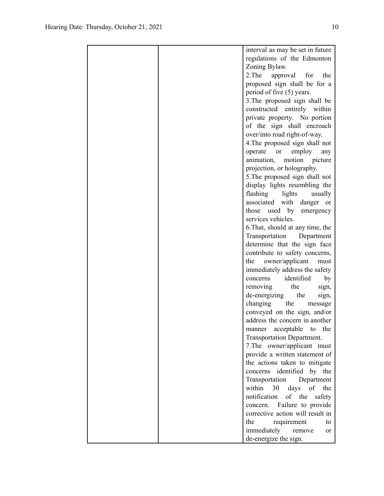|  | interval as may be set in future      |
|--|---------------------------------------|
|  | regulations of the Edmonton           |
|  | Zoning Bylaw.                         |
|  | 2. The<br>approval<br>for<br>the      |
|  | proposed sign shall be for a          |
|  | period of five (5) years.             |
|  | 3. The proposed sign shall be         |
|  | constructed entirely within           |
|  | private property. No portion          |
|  | of the sign shall encroach            |
|  |                                       |
|  | over/into road right-of-way.          |
|  | 4. The proposed sign shall not        |
|  | operate<br>employ<br><b>or</b><br>any |
|  | animation,<br>motion picture          |
|  | projection, or holography.            |
|  | 5. The proposed sign shall not        |
|  | display lights resembling the         |
|  | flashing lights<br>usually            |
|  | associated with danger or             |
|  | used by<br>those<br>emergency         |
|  | services vehicles.                    |
|  | 6. That, should at any time, the      |
|  | Transportation<br>Department          |
|  | determine that the sign face          |
|  | contribute to safety concerns,        |
|  | owner/applicant<br>the<br>must        |
|  | immediately address the safety        |
|  | identified<br>by<br>concerns          |
|  | removing<br>the<br>sign,              |
|  | de-energizing<br>the<br>sign,         |
|  | changing<br>the<br>message            |
|  | conveyed on the sign, and/or          |
|  | address the concern in another        |
|  | manner<br>acceptable<br>to<br>the     |
|  | Transportation Department.            |
|  | 7. The owner/applicant must           |
|  | provide a written statement of        |
|  | the actions taken to mitigate         |
|  | concerns identified by the            |
|  | Transportation<br>Department          |
|  | within<br>30                          |
|  | days<br>of<br>the                     |
|  | notification<br>of the<br>safety      |
|  | concern. Failure to provide           |
|  | corrective action will result in      |
|  | the<br>requirement<br>to              |
|  | immediately<br>remove<br>or           |
|  | de-energize the sign.                 |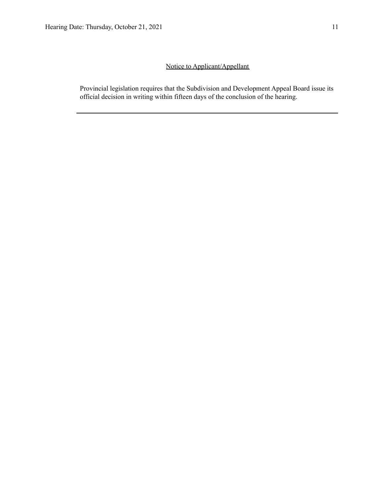## Notice to Applicant/Appellant

Provincial legislation requires that the Subdivision and Development Appeal Board issue its official decision in writing within fifteen days of the conclusion of the hearing.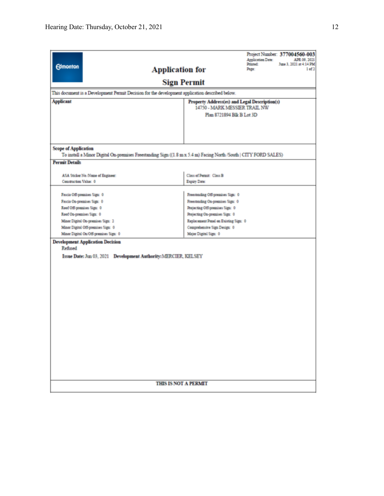| <b>Edmonton</b><br>This document is a Development Permit Decision for the development application described below.     | Project Number: 377004560-003<br><b>Application Date:</b><br>APR 09, 2021<br>Printed:<br>June 3, 2021 at 4:14 PM<br>1 of 2<br><b>Application for</b><br>Page:<br><b>Sign Permit</b> |  |  |
|------------------------------------------------------------------------------------------------------------------------|-------------------------------------------------------------------------------------------------------------------------------------------------------------------------------------|--|--|
| <b>Applicant</b>                                                                                                       | Property Address(es) and Legal Description(s)                                                                                                                                       |  |  |
|                                                                                                                        | 14750 - MARK MESSIER TRAIL NW                                                                                                                                                       |  |  |
|                                                                                                                        | Plan 8721894 Blk B Lot 3D                                                                                                                                                           |  |  |
|                                                                                                                        |                                                                                                                                                                                     |  |  |
| <b>Scope of Application</b>                                                                                            | To install a Minor Digital On-premises Freestanding Sign ((1.8 m x 5.4 m) Facing North /South   CITY FORD SALES)                                                                    |  |  |
| <b>Permit Details</b>                                                                                                  |                                                                                                                                                                                     |  |  |
|                                                                                                                        |                                                                                                                                                                                     |  |  |
| ASA Sticker No./Name of Engineer:<br>Construction Value: 0                                                             | Class of Permit: Class B<br>Expiry Date:                                                                                                                                            |  |  |
|                                                                                                                        |                                                                                                                                                                                     |  |  |
| Fascia Off-premises Sign: 0                                                                                            | Freestanding Off-premises Sign: 0                                                                                                                                                   |  |  |
| Fascia On-premises Sign: 0                                                                                             | Freestanding On-premises Sign: 0                                                                                                                                                    |  |  |
| Roof Off-premises Sign: 0                                                                                              | Projecting Off-premises Sign: 0                                                                                                                                                     |  |  |
| Roof On-premises Sign: 0                                                                                               | Projecting On-premises Sign: 0                                                                                                                                                      |  |  |
| Minor Digital On-premises Sign: 2                                                                                      | Replacement Panel on Existing Sign: 0                                                                                                                                               |  |  |
| Minor Digital Off-premises Sign: 0                                                                                     | Comprehensive Sign Design: 0                                                                                                                                                        |  |  |
| Minor Digital On/Off-premises Sign: 0                                                                                  | Major Digital Sign: 0                                                                                                                                                               |  |  |
| <b>Development Application Decision</b><br>Refused<br>Issue Date: Jun 03, 2021  Development Authority: MERCIER, KELSEY |                                                                                                                                                                                     |  |  |
|                                                                                                                        | <b>THIS IS NOT A PERMIT</b>                                                                                                                                                         |  |  |
|                                                                                                                        |                                                                                                                                                                                     |  |  |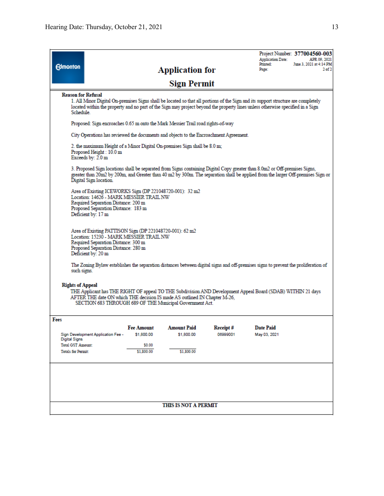| <b>Reason for Refusal</b><br>1. All Minor Digital On-premises Signs shall be located so that all portions of the Sign and its support structure are completely<br>located within the property and no part of the Sign may project beyond the property lines unless otherwise specified in a Sign<br>Schedule. |  |  |  |  |  |
|---------------------------------------------------------------------------------------------------------------------------------------------------------------------------------------------------------------------------------------------------------------------------------------------------------------|--|--|--|--|--|
| Proposed: Sign encroaches 0.65 m onto the Mark Messier Trail road rights-of-way                                                                                                                                                                                                                               |  |  |  |  |  |
|                                                                                                                                                                                                                                                                                                               |  |  |  |  |  |
| 2. the maximum Height of a Minor Digital On-premises Sign shall be 8.0 m;<br>Proposed Height: 10.0 m<br>Exceeds by: 2.0 m                                                                                                                                                                                     |  |  |  |  |  |
| 3. Proposed Sign locations shall be separated from Signs containing Digital Copy greater than 8.0m2 or Off-premises Signs,<br>greater than 20m2 by 200m, and Greater than 40 m2 by 300m. The separation shall be applied from the larger Off-premises Sign or<br>Digital Sign location.                       |  |  |  |  |  |
| Area of Existing ICEWORKS Sign (DP 221048720-001): 32 m2<br>Location: 14626 - MARK MESSIER TRAIL NW<br>Required Separation Distance: 200 m<br>Proposed Separation Distance: 183 m<br>Deficient by: 17 m                                                                                                       |  |  |  |  |  |
| Area of Existing PATTISON Sign (DP 221048720-001): 62 m2<br>Location: 15230 - MARK MESSIER TRAIL NW<br>Required Separation Distance: 300 m<br>Proposed Separation Distance: 280 m<br>Deficient by: 20 m                                                                                                       |  |  |  |  |  |
| The Zoning Bylaw establishes the separation distances between digital signs and off-premises signs to prevent the proliferation of                                                                                                                                                                            |  |  |  |  |  |
| <b>Rights of Appeal</b><br>THE Applicant has THE RIGHT OF appeal TO THE Subdivision AND Development Appeal Board (SDAB) WITHIN 21 days<br>AFTER THE date ON which THE decision IS made AS outlined IN Chapter M-26,<br>SECTION 683 THROUGH 689 OF THE Municipal Government Act.                               |  |  |  |  |  |
|                                                                                                                                                                                                                                                                                                               |  |  |  |  |  |
|                                                                                                                                                                                                                                                                                                               |  |  |  |  |  |
|                                                                                                                                                                                                                                                                                                               |  |  |  |  |  |
|                                                                                                                                                                                                                                                                                                               |  |  |  |  |  |
|                                                                                                                                                                                                                                                                                                               |  |  |  |  |  |
|                                                                                                                                                                                                                                                                                                               |  |  |  |  |  |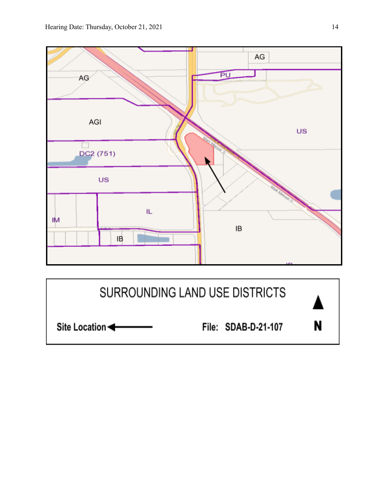

N Site Location File: SDAB-D-21-107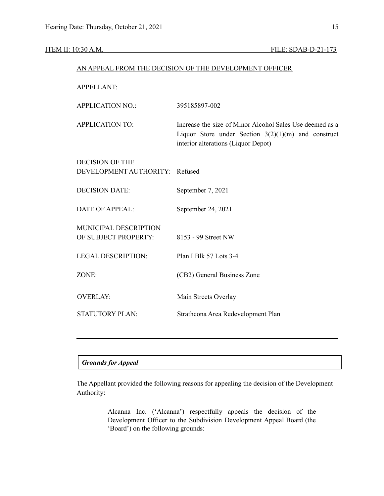#### ITEM II: 10:30 A.M. FILE: SDAB-D-21-173

|                                                          | AN APPEAL FROM THE DECISION OF THE DEVELOPMENT OFFICER                                                                                                   |
|----------------------------------------------------------|----------------------------------------------------------------------------------------------------------------------------------------------------------|
| <b>APPELLANT:</b>                                        |                                                                                                                                                          |
| <b>APPLICATION NO.:</b>                                  | 395185897-002                                                                                                                                            |
| <b>APPLICATION TO:</b>                                   | Increase the size of Minor Alcohol Sales Use deemed as a<br>Liquor Store under Section $3(2)(1)(m)$ and construct<br>interior alterations (Liquor Depot) |
| <b>DECISION OF THE</b><br>DEVELOPMENT AUTHORITY: Refused |                                                                                                                                                          |
| <b>DECISION DATE:</b>                                    | September 7, 2021                                                                                                                                        |
| <b>DATE OF APPEAL:</b>                                   | September 24, 2021                                                                                                                                       |
| MUNICIPAL DESCRIPTION<br>OF SUBJECT PROPERTY:            | 8153 - 99 Street NW                                                                                                                                      |
| <b>LEGAL DESCRIPTION:</b>                                | Plan I Blk 57 Lots 3-4                                                                                                                                   |
| ZONE:                                                    | (CB2) General Business Zone                                                                                                                              |
| <b>OVERLAY:</b>                                          | Main Streets Overlay                                                                                                                                     |
| <b>STATUTORY PLAN:</b>                                   | Strathcona Area Redevelopment Plan                                                                                                                       |
|                                                          |                                                                                                                                                          |

### *Grounds for Appeal*

The Appellant provided the following reasons for appealing the decision of the Development Authority:

> Alcanna Inc. ('Alcanna') respectfully appeals the decision of the Development Officer to the Subdivision Development Appeal Board (the 'Board') on the following grounds: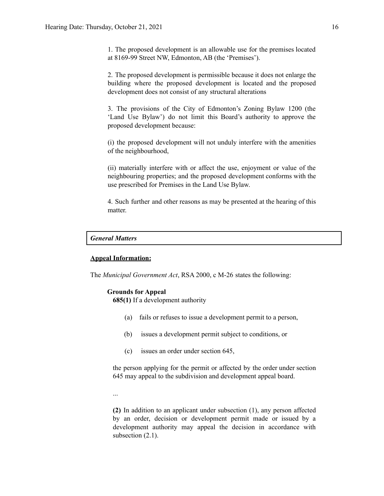1. The proposed development is an allowable use for the premises located at 8169-99 Street NW, Edmonton, AB (the 'Premises').

2. The proposed development is permissible because it does not enlarge the building where the proposed development is located and the proposed development does not consist of any structural alterations

3. The provisions of the City of Edmonton's Zoning Bylaw 1200 (the 'Land Use Bylaw') do not limit this Board's authority to approve the proposed development because:

(i) the proposed development will not unduly interfere with the amenities of the neighbourhood,

(ii) materially interfere with or affect the use, enjoyment or value of the neighbouring properties; and the proposed development conforms with the use prescribed for Premises in the Land Use Bylaw.

4. Such further and other reasons as may be presented at the hearing of this matter.

#### *General Matters*

#### **Appeal Information:**

The *Municipal Government Act*, RSA 2000, c M-26 states the following:

#### **Grounds for Appeal**

**685(1)** If a development authority

- (a) fails or refuses to issue a development permit to a person,
- (b) issues a development permit subject to conditions, or
- (c) issues an order under section 645,

the person applying for the permit or affected by the order under section 645 may appeal to the subdivision and development appeal board.

...

**(2)** In addition to an applicant under subsection (1), any person affected by an order, decision or development permit made or issued by a development authority may appeal the decision in accordance with subsection  $(2.1)$ .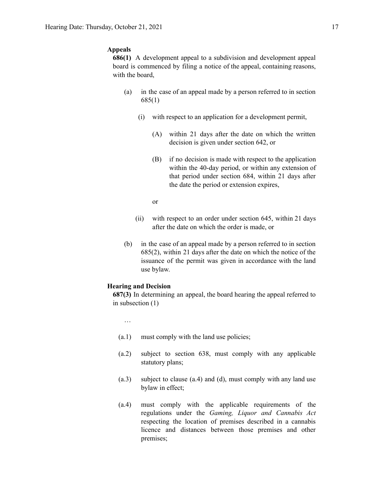#### **Appeals**

**686(1)** A development appeal to a subdivision and development appeal board is commenced by filing a notice of the appeal, containing reasons, with the board,

- (a) in the case of an appeal made by a person referred to in section 685(1)
	- (i) with respect to an application for a development permit,
		- (A) within 21 days after the date on which the written decision is given under section 642, or
		- (B) if no decision is made with respect to the application within the 40-day period, or within any extension of that period under section 684, within 21 days after the date the period or extension expires,
		- or
	- (ii) with respect to an order under section 645, within 21 days after the date on which the order is made, or
- (b) in the case of an appeal made by a person referred to in section 685(2), within 21 days after the date on which the notice of the issuance of the permit was given in accordance with the land use bylaw.

#### **Hearing and Decision**

**687(3)** In determining an appeal, the board hearing the appeal referred to in subsection (1)

- …
- (a.1) must comply with the land use policies;
- (a.2) subject to section 638, must comply with any applicable statutory plans;
- (a.3) subject to clause (a.4) and (d), must comply with any land use bylaw in effect;
- (a.4) must comply with the applicable requirements of the regulations under the *Gaming, Liquor and Cannabis Act* respecting the location of premises described in a cannabis licence and distances between those premises and other premises;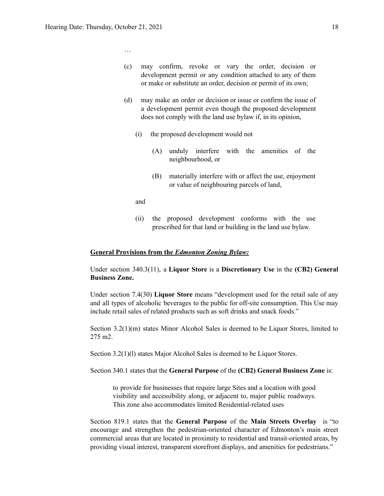…

- (c) may confirm, revoke or vary the order, decision or development permit or any condition attached to any of them or make or substitute an order, decision or permit of its own;
- (d) may make an order or decision or issue or confirm the issue of a development permit even though the proposed development does not comply with the land use bylaw if, in its opinion,
	- (i) the proposed development would not
		- (A) unduly interfere with the amenities of the neighbourhood, or
		- (B) materially interfere with or affect the use, enjoyment or value of neighbouring parcels of land,
	- and
	- (ii) the proposed development conforms with the use prescribed for that land or building in the land use bylaw.

#### **General Provisions from the** *Edmonton Zoning Bylaw:*

Under section 340.3(11), a **Liquor Store** is a **Discretionary Use** in the **(CB2) General Business Zone.**

Under section 7.4(30) **Liquor Store** means "development used for the retail sale of any and all types of alcoholic beverages to the public for off-site consumption. This Use may include retail sales of related products such as soft drinks and snack foods."

Section 3.2(1)(m) states Minor Alcohol Sales is deemed to be Liquor Stores, limited to 275 m2.

Section 3.2(1)(l) states Major Alcohol Sales is deemed to be Liquor Stores.

Section 340.1 states that the **General Purpose** of the **(CB2) General Business Zone** is:

to provide for businesses that require large Sites and a location with good visibility and accessibility along, or adjacent to, major public roadways. This zone also accommodates limited Residential-related uses

Section 819.1 states that the **General Purpose** of the **Main Streets Overlay** is "to encourage and strengthen the pedestrian-oriented character of Edmonton's main street commercial areas that are located in proximity to residential and transit-oriented areas, by providing visual interest, transparent storefront displays, and amenities for pedestrians."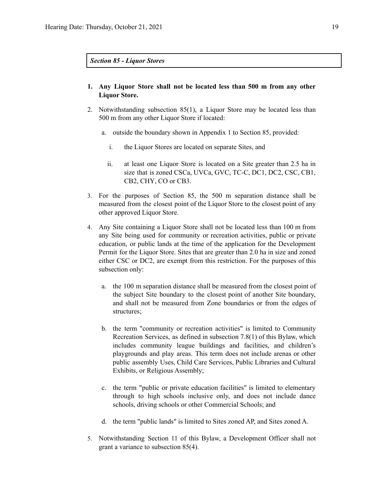*Section 85 - Liquor Stores*

- **1. Any Liquor Store shall not be located less than [500](https://webdocs.edmonton.ca/InfraPlan/zoningbylaw/ZoningBylaw/Measurements/im500.htm) m from any other Liquor Store.**
- 2. Notwithstanding subsection 85(1), a Liquor Store may be located less than [500](https://webdocs.edmonton.ca/InfraPlan/zoningbylaw/ZoningBylaw/Measurements/im500.htm) m from any other Liquor Store if located:
	- a. outside the boundary shown in Appendix 1 to Section 85, provided:
		- i. the Liquor Stores are located on separate Sites, and
		- ii. at least one Liquor Store is located on a Site greater than 2.5 ha in size that is zoned [CSCa](https://webdocs.edmonton.ca/InfraPlan/zoningbylaw/ZoningBylaw/Part2/Special_Areas/960_5_(CSCa)_Ambleside_Shopping_Centre_Zone.htm), [UVCa,](https://webdocs.edmonton.ca/InfraPlan/zoningbylaw/ZoningBylaw/Part2/Special_Areas/960.6_(UVCa)_Ambleside_Urban_Village_Commercial_Zone.htm) [GVC,](https://webdocs.edmonton.ca/InfraPlan/zoningbylaw/ZoningBylaw/Part2/Special_Areas/940_6_(GVC)_Griesbach_Village_Centre_Zone.htm) [TC-C](https://webdocs.edmonton.ca/InfraPlan/zoningbylaw/ZoningBylaw/Part2/Special_Areas/990_4_(TC-C)_Heritage_Valley_Town_Centre_Commercial_Zone.htm), [DC1](https://webdocs.edmonton.ca/InfraPlan/zoningbylaw/ZoningBylaw/Part2/Direct/710_(DC1)_Direct_Development_Control_Provision.htm), [DC2,](https://webdocs.edmonton.ca/InfraPlan/zoningbylaw/ZoningBylaw/Part2/Direct/720_(DC2)_Site_Specific_Development_Control_Provision.htm) [CSC,](https://webdocs.edmonton.ca/InfraPlan/zoningbylaw/ZoningBylaw/Part2/Commercial/320_(CSC)_Shopping_Centre_Zone.htm) [CB1,](https://webdocs.edmonton.ca/InfraPlan/zoningbylaw/ZoningBylaw/Part2/Commercial/330_(CB1)_Low_Intensity_Business_Zone.htm) [CB2](https://webdocs.edmonton.ca/InfraPlan/zoningbylaw/ZoningBylaw/Part2/Commercial/340_(CB2)_General_Business_Zone.htm), [CHY,](https://webdocs.edmonton.ca/InfraPlan/zoningbylaw/ZoningBylaw/Part2/Commercial/350_(CHY)_Highway_Corridor_Zone.htm) [CO](https://webdocs.edmonton.ca/InfraPlan/zoningbylaw/ZoningBylaw/Part2/Commercial/360_(CO)_Commercial_Office_Zone.htm) or [CB3](https://webdocs.edmonton.ca/InfraPlan/zoningbylaw/ZoningBylaw/Part2/Commercial/370_(CB3)_Commercial_Mixed_Business_Zone.htm).
- 3. For the purposes of Section 85, the [500](https://webdocs.edmonton.ca/InfraPlan/zoningbylaw/ZoningBylaw/Measurements/im500.htm) m separation distance shall be measured from the closest point of the Liquor Store to the closest point of any other approved Liquor Store.
- 4. Any Site containing a Liquor Store shall not be located less than 100 m from any Site being used for community or recreation activities, public or private education, or public lands at the time of the application for the Development Permit for the Liquor Store. Sites that are greater than 2.0 ha in size and zoned either CSC or DC2, are exempt from this restriction. For the purposes of this subsection only:
	- a. the 100 m separation distance shall be measured from the closest point of the subject Site boundary to the closest point of another Site boundary, and shall not be measured from Zone boundaries or from the edges of structures;
	- b. the term "community or recreation activities" is limited to Community Recreation Services, as defined in subsection 7.8(1) of this Bylaw, which includes community league buildings and facilities, and children's playgrounds and play areas. This term does not include arenas or other public assembly Uses, Child Care Services, Public Libraries and Cultural Exhibits, or Religious Assembly;
	- c. the term "public or private education facilities" is limited to elementary through to high schools inclusive only, and does not include dance schools, driving schools or other Commercial Schools; and
	- d. the term "public lands" is limited to Sites zoned AP, and Sites zoned A.
- 5. Notwithstanding Section 11 of this Bylaw, a Development Officer shall not grant a variance to subsection 85(4).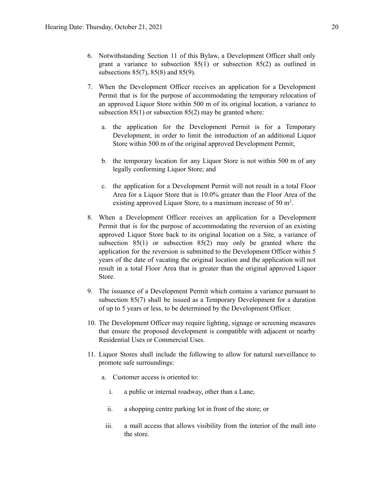- 6. Notwithstanding Section 11 of this Bylaw, a Development Officer shall only grant a variance to subsection 85(1) or subsection 85(2) as outlined in subsections 85(7), 85(8) and 85(9).
- 7. When the Development Officer receives an application for a Development Permit that is for the purpose of accommodating the temporary relocation of an approved Liquor Store within 500 m of its original location, a variance to subsection  $85(1)$  or subsection  $85(2)$  may be granted where:
	- a. the application for the Development Permit is for a Temporary Development, in order to limit the introduction of an additional Liquor Store within [500](https://webdocs.edmonton.ca/InfraPlan/zoningbylaw/ZoningBylaw/Measurements/im500.htm) m of the original approved Development Permit;
	- b. the temporary location for any Liquor Store is not within [500](https://webdocs.edmonton.ca/InfraPlan/zoningbylaw/ZoningBylaw/Measurements/im500.htm) m of any legally conforming Liquor Store; and
	- c. the application for a Development Permit will not result in a total Floor Area for a Liquor Store that is 10.0% greater than the Floor Area of the existing approved Liquor Store, to a maximum increase of [50](https://webdocs.edmonton.ca/InfraPlan/zoningbylaw/ZoningBylaw/Measurements/ia50.htm) m<sup>2</sup>.
- 8. When a Development Officer receives an application for a Development Permit that is for the purpose of accommodating the reversion of an existing approved Liquor Store back to its original location on a Site, a variance of subsection 85(1) or subsection 85(2) may only be granted where the application for the reversion is submitted to the Development Officer within 5 years of the date of vacating the original location and the application will not result in a total Floor Area that is greater than the original approved Liquor Store.
- 9. The issuance of a Development Permit which contains a variance pursuant to subsection 85(7) shall be issued as a Temporary Development for a duration of up to 5 years or less, to be determined by the Development Officer.
- 10. The Development Officer may require lighting, signage or screening measures that ensure the proposed development is compatible with adjacent or nearby Residential Uses or Commercial Uses.
- 11. Liquor Stores shall include the following to allow for natural surveillance to promote safe surroundings:
	- a. Customer access is oriented to:
		- i. a public or internal roadway, other than a Lane;
		- ii. a shopping centre parking lot in front of the store; or
		- iii. a mall access that allows visibility from the interior of the mall into the store.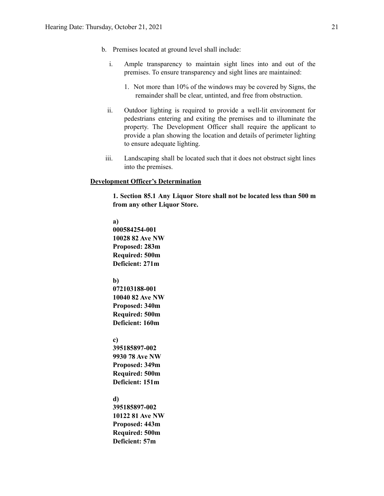- b. Premises located at ground level shall include:
	- i. Ample transparency to maintain sight lines into and out of the premises. To ensure transparency and sight lines are maintained:
		- 1. Not more than 10% of the windows may be covered by Signs, the remainder shall be clear, untinted, and free from obstruction.
	- ii. Outdoor lighting is required to provide a well-lit environment for pedestrians entering and exiting the premises and to illuminate the property. The Development Officer shall require the applicant to provide a plan showing the location and details of perimeter lighting to ensure adequate lighting.
- iii. Landscaping shall be located such that it does not obstruct sight lines into the premises.

#### **Development Officer's Determination**

**1. Section 85.1 Any Liquor Store shall not be located less than 500 m from any other Liquor Store.**

#### **a)**

**000584254-001 10028 82 Ave NW Proposed: 283m Required: 500m Deficient: 271m**

#### **b)**

**072103188-001 10040 82 Ave NW Proposed: 340m Required: 500m Deficient: 160m**

#### **c)**

**395185897-002 9930 78 Ave NW Proposed: 349m Required: 500m Deficient: 151m**

#### **d)**

**395185897-002 10122 81 Ave NW Proposed: 443m Required: 500m Deficient: 57m**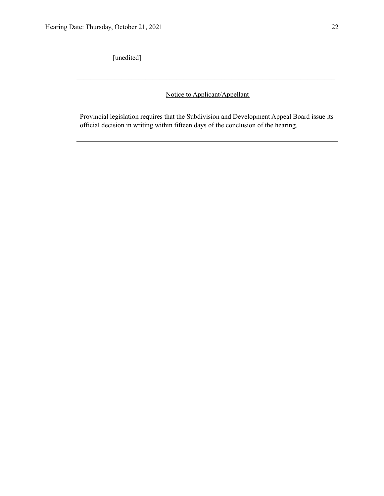[unedited]

Notice to Applicant/Appellant

 $\mathcal{L}_\text{max} = \frac{1}{2} \sum_{i=1}^n \mathcal{L}_\text{max} = \frac{1}{2} \sum_{i=1}^n \mathcal{L}_\text{max} = \frac{1}{2} \sum_{i=1}^n \mathcal{L}_\text{max} = \frac{1}{2} \sum_{i=1}^n \mathcal{L}_\text{max} = \frac{1}{2} \sum_{i=1}^n \mathcal{L}_\text{max} = \frac{1}{2} \sum_{i=1}^n \mathcal{L}_\text{max} = \frac{1}{2} \sum_{i=1}^n \mathcal{L}_\text{max} = \frac{1}{2} \sum_{i=$ 

Provincial legislation requires that the Subdivision and Development Appeal Board issue its official decision in writing within fifteen days of the conclusion of the hearing.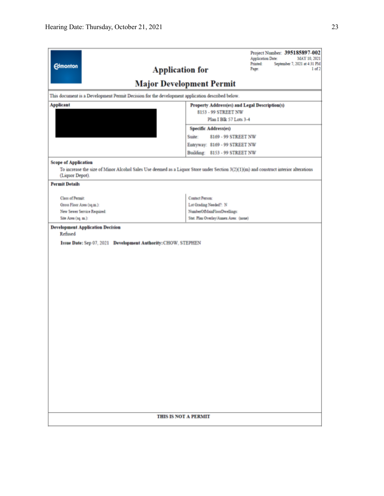| <b>Edmonton</b><br><b>Application for</b>                                                                           | Project Number: 395185897-002<br><b>Application Date:</b><br>MAY 10, 2021<br>Printed:<br>September 7, 2021 at 4:31 PM<br>1 <sub>of</sub> 2<br>Page:<br><b>Major Development Permit</b> |  |  |  |
|---------------------------------------------------------------------------------------------------------------------|----------------------------------------------------------------------------------------------------------------------------------------------------------------------------------------|--|--|--|
| This document is a Development Permit Decision for the development application described below.                     |                                                                                                                                                                                        |  |  |  |
| <b>Applicant</b><br>Property Address(es) and Legal Description(s)<br>8153 - 99 STREET NW<br>Plan I Blk 57 Lots 3-4  |                                                                                                                                                                                        |  |  |  |
|                                                                                                                     | <b>Specific Address(es)</b>                                                                                                                                                            |  |  |  |
|                                                                                                                     | Suite:<br>8169 - 99 STREET NW                                                                                                                                                          |  |  |  |
|                                                                                                                     | Entryway: 8169 - 99 STREET NW                                                                                                                                                          |  |  |  |
|                                                                                                                     | Building: 8153 - 99 STREET NW                                                                                                                                                          |  |  |  |
| <b>Scope of Application</b><br>(Liquor Depot).<br><b>Permit Details</b>                                             | To increase the size of Minor Alcohol Sales Use deemed as a Liquor Store under Section $3(2)(1)(m)$ and construct interior alterations                                                 |  |  |  |
| <b>Class of Permit:</b><br>Gross Floor Area (sq.m.):<br>New Sewer Service Required:<br>Site Area (sq. m.):          | <b>Contact Person:</b><br>Lot Grading Needed?: N<br>NumberOfMainFloorDwellings:<br>Stat. Plan Overlay/Annex Area: (none)                                                               |  |  |  |
| <b>Development Application Decision</b><br>Refused<br>Issue Date: Sep 07, 2021 Development Authority: CHOW, STEPHEN |                                                                                                                                                                                        |  |  |  |
| THIS IS NOT A PERMIT                                                                                                |                                                                                                                                                                                        |  |  |  |
|                                                                                                                     |                                                                                                                                                                                        |  |  |  |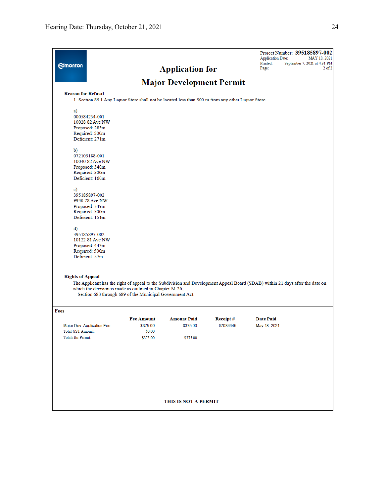| <b>Edmonton</b>                                                                                                                                                                                                                                                                 |                                                                                                    | <b>Application for</b>          |                      | Project Number: 395185897-002<br><b>Application Date:</b><br>Printed:<br>Page: | MAY 10, 2021<br>September 7, 2021 at 4:31 PM<br>$2$ of $2$ |  |
|---------------------------------------------------------------------------------------------------------------------------------------------------------------------------------------------------------------------------------------------------------------------------------|----------------------------------------------------------------------------------------------------|---------------------------------|----------------------|--------------------------------------------------------------------------------|------------------------------------------------------------|--|
|                                                                                                                                                                                                                                                                                 |                                                                                                    | <b>Major Development Permit</b> |                      |                                                                                |                                                            |  |
| <b>Reason for Refusal</b>                                                                                                                                                                                                                                                       | 1. Section 85.1 Any Liquor Store shall not be located less than 500 m from any other Liquor Store. |                                 |                      |                                                                                |                                                            |  |
| a)<br>000584254-001<br>10028 82 Ave NW<br>Proposed: 283m<br>Required: 500m<br>Deficient: 271m                                                                                                                                                                                   |                                                                                                    |                                 |                      |                                                                                |                                                            |  |
| $\mathbf{b}$<br>072103188-001<br>10040 82 Ave NW<br>Proposed: 340m<br>Required: 500m<br>Deficient: 160m                                                                                                                                                                         |                                                                                                    |                                 |                      |                                                                                |                                                            |  |
| c)<br>395185897-002<br>9930 78 Ave NW<br>Proposed: 349m<br>Required: 500m<br>Deficient: 151m                                                                                                                                                                                    |                                                                                                    |                                 |                      |                                                                                |                                                            |  |
| d)<br>395185897-002<br>10122 81 Ave NW<br>Proposed: 443m<br>Required: 500m<br>Deficient: 57m                                                                                                                                                                                    |                                                                                                    |                                 |                      |                                                                                |                                                            |  |
|                                                                                                                                                                                                                                                                                 |                                                                                                    |                                 |                      |                                                                                |                                                            |  |
| <b>Rights of Appeal</b><br>The Applicant has the right of appeal to the Subdivision and Development Appeal Board (SDAB) within 21 days after the date on<br>which the decision is made as outlined in Chapter M-26,<br>Section 683 through 689 of the Municipal Government Act. |                                                                                                    |                                 |                      |                                                                                |                                                            |  |
| Fees                                                                                                                                                                                                                                                                            |                                                                                                    |                                 |                      |                                                                                |                                                            |  |
| Major Dev. Application Fee<br><b>Total GST Amount:</b>                                                                                                                                                                                                                          | <b>Fee Amount</b><br>\$375.00<br>\$0.00                                                            | <b>Amount Paid</b><br>\$375.00  | Receipt#<br>07034645 | <b>Date Paid</b><br>May 18, 2021                                               |                                                            |  |
| <b>Totals for Permit:</b>                                                                                                                                                                                                                                                       | \$375.00                                                                                           | \$375.00                        |                      |                                                                                |                                                            |  |
|                                                                                                                                                                                                                                                                                 |                                                                                                    |                                 |                      |                                                                                |                                                            |  |
|                                                                                                                                                                                                                                                                                 |                                                                                                    | THIS IS NOT A PERMIT            |                      |                                                                                |                                                            |  |
|                                                                                                                                                                                                                                                                                 |                                                                                                    |                                 |                      |                                                                                |                                                            |  |